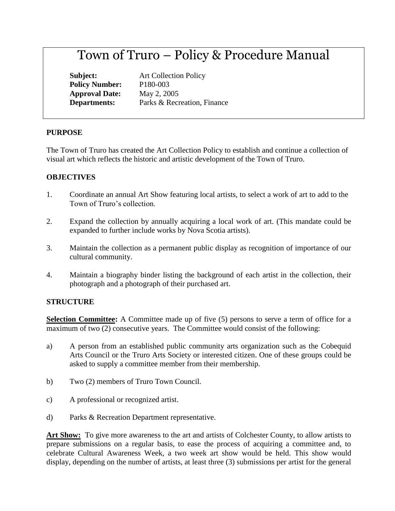# Town of Truro – Policy & Procedure Manual

**Policy Number:** P180-003 **Approval Date:** May 2, 2005

**Subject:** Art Collection Policy **Departments:** Parks & Recreation, Finance

# **PURPOSE**

The Town of Truro has created the Art Collection Policy to establish and continue a collection of visual art which reflects the historic and artistic development of the Town of Truro.

# **OBJECTIVES**

- 1. Coordinate an annual Art Show featuring local artists, to select a work of art to add to the Town of Truro's collection.
- 2. Expand the collection by annually acquiring a local work of art. (This mandate could be expanded to further include works by Nova Scotia artists).
- 3. Maintain the collection as a permanent public display as recognition of importance of our cultural community.
- 4. Maintain a biography binder listing the background of each artist in the collection, their photograph and a photograph of their purchased art.

# **STRUCTURE**

**Selection Committee:** A Committee made up of five (5) persons to serve a term of office for a maximum of two (2) consecutive years. The Committee would consist of the following:

- a) A person from an established public community arts organization such as the Cobequid Arts Council or the Truro Arts Society or interested citizen. One of these groups could be asked to supply a committee member from their membership.
- b) Two (2) members of Truro Town Council.
- c) A professional or recognized artist.
- d) Parks & Recreation Department representative.

**Art Show:** To give more awareness to the art and artists of Colchester County, to allow artists to prepare submissions on a regular basis, to ease the process of acquiring a committee and, to celebrate Cultural Awareness Week, a two week art show would be held. This show would display, depending on the number of artists, at least three (3) submissions per artist for the general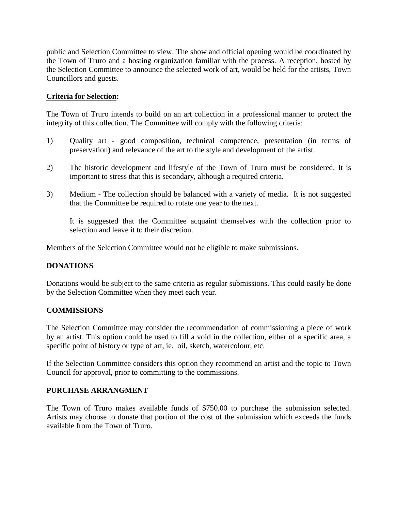public and Selection Committee to view. The show and official opening would be coordinated by the Town of Truro and a hosting organization familiar with the process. A reception, hosted by the Selection Committee to announce the selected work of art, would be held for the artists, Town Councillors and guests.

## **Criteria for Selection:**

The Town of Truro intends to build on an art collection in a professional manner to protect the integrity of this collection. The Committee will comply with the following criteria:

- 1) Quality art good composition, technical competence, presentation (in terms of preservation) and relevance of the art to the style and development of the artist.
- 2) The historic development and lifestyle of the Town of Truro must be considered. It is important to stress that this is secondary, although a required criteria.
- 3) Medium The collection should be balanced with a variety of media. It is not suggested that the Committee be required to rotate one year to the next.

It is suggested that the Committee acquaint themselves with the collection prior to selection and leave it to their discretion.

Members of the Selection Committee would not be eligible to make submissions.

## **DONATIONS**

Donations would be subject to the same criteria as regular submissions. This could easily be done by the Selection Committee when they meet each year.

#### **COMMISSIONS**

The Selection Committee may consider the recommendation of commissioning a piece of work by an artist. This option could be used to fill a void in the collection, either of a specific area, a specific point of history or type of art, ie. oil, sketch, watercolour, etc.

If the Selection Committee considers this option they recommend an artist and the topic to Town Council for approval, prior to committing to the commissions.

## **PURCHASE ARRANGMENT**

The Town of Truro makes available funds of \$750.00 to purchase the submission selected. Artists may choose to donate that portion of the cost of the submission which exceeds the funds available from the Town of Truro.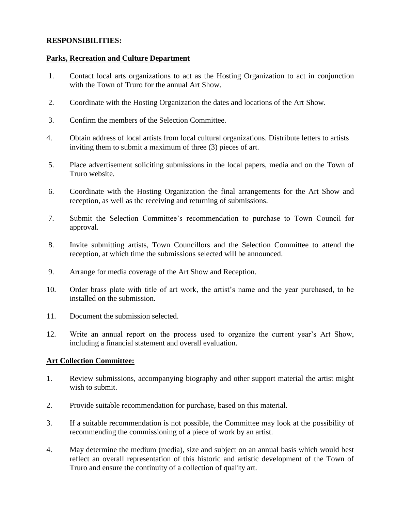# **RESPONSIBILITIES:**

## **Parks, Recreation and Culture Department**

- 1. Contact local arts organizations to act as the Hosting Organization to act in conjunction with the Town of Truro for the annual Art Show.
- 2. Coordinate with the Hosting Organization the dates and locations of the Art Show.
- 3. Confirm the members of the Selection Committee.
- 4. Obtain address of local artists from local cultural organizations. Distribute letters to artists inviting them to submit a maximum of three (3) pieces of art.
- 5. Place advertisement soliciting submissions in the local papers, media and on the Town of Truro website.
- 6. Coordinate with the Hosting Organization the final arrangements for the Art Show and reception, as well as the receiving and returning of submissions.
- 7. Submit the Selection Committee's recommendation to purchase to Town Council for approval.
- 8. Invite submitting artists, Town Councillors and the Selection Committee to attend the reception, at which time the submissions selected will be announced.
- 9. Arrange for media coverage of the Art Show and Reception.
- 10. Order brass plate with title of art work, the artist's name and the year purchased, to be installed on the submission.
- 11. Document the submission selected.
- 12. Write an annual report on the process used to organize the current year's Art Show, including a financial statement and overall evaluation.

# **Art Collection Committee:**

- 1. Review submissions, accompanying biography and other support material the artist might wish to submit.
- 2. Provide suitable recommendation for purchase, based on this material.
- 3. If a suitable recommendation is not possible, the Committee may look at the possibility of recommending the commissioning of a piece of work by an artist.
- 4. May determine the medium (media), size and subject on an annual basis which would best reflect an overall representation of this historic and artistic development of the Town of Truro and ensure the continuity of a collection of quality art.